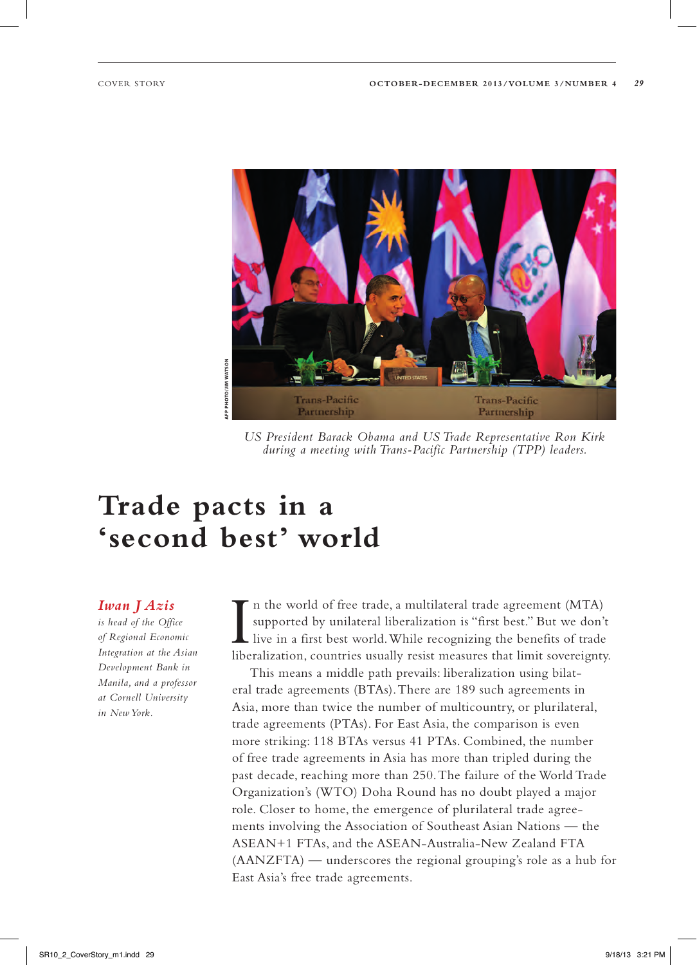

*US President Barack Obama and US Trade Representative Ron Kirk during a meeting with Trans-Pacific Partnership (TPP) leaders.*

# **Trade pacts in a 'second best' world**

*Iwan J Azis* 

*is head of the Office of Regional Economic Integration at the Asian Development Bank in Manila, and a professor at Cornell University in New York.*

I n the world of free trade, a multilateral trade agreement (MTA) supported by unilateral liberalization is "first best." But we don't live in a first best world. While recognizing the benefits of trade liberalization, countries usually resist measures that limit sovereignty.

This means a middle path prevails: liberalization using bilateral trade agreements (BTAs). There are 189 such agreements in Asia, more than twice the number of multicountry, or plurilateral, trade agreements (PTAs). For East Asia, the comparison is even more striking: 118 BTAs versus 41 PTAs. Combined, the number of free trade agreements in Asia has more than tripled during the past decade, reaching more than 250. The failure of the World Trade Organization's (WTO) Doha Round has no doubt played a major role. Closer to home, the emergence of plurilateral trade agreements involving the Association of Southeast Asian Nations — the ASEAN+1 FTAs, and the ASEAN-Australia-New Zealand FTA (AANZFTA) — underscores the regional grouping's role as a hub for East Asia's free trade agreements.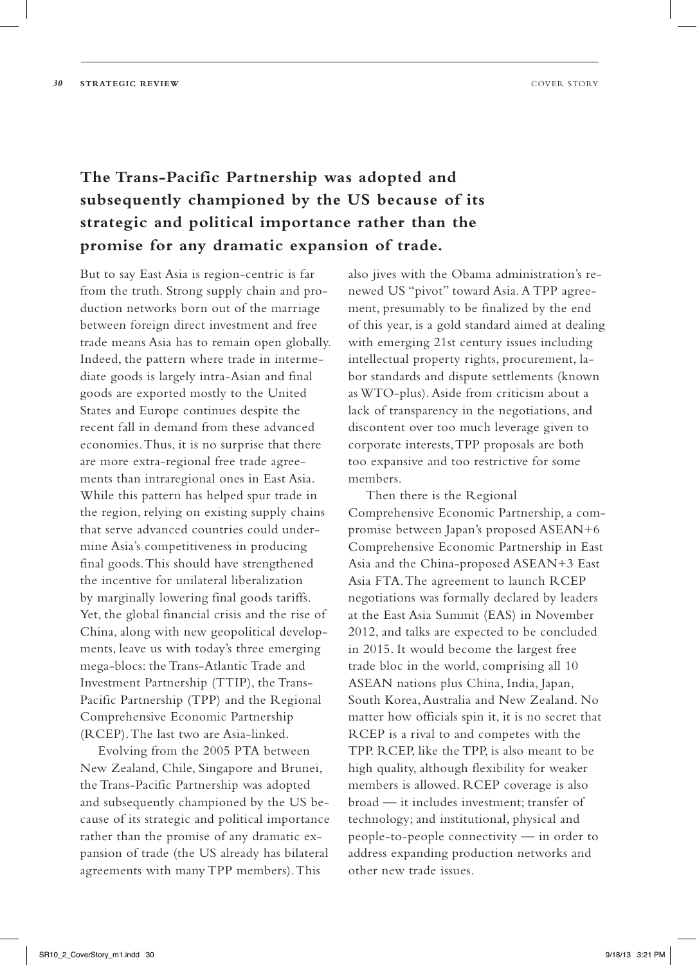### **The Trans-Pacific Partnership was adopted and subsequently championed by the US because of its strategic and political importance rather than the promise for any dramatic expansion of trade.**

But to say East Asia is region-centric is far from the truth. Strong supply chain and production networks born out of the marriage between foreign direct investment and free trade means Asia has to remain open globally. Indeed, the pattern where trade in intermediate goods is largely intra-Asian and final goods are exported mostly to the United States and Europe continues despite the recent fall in demand from these advanced economies. Thus, it is no surprise that there are more extra-regional free trade agreements than intraregional ones in East Asia. While this pattern has helped spur trade in the region, relying on existing supply chains that serve advanced countries could undermine Asia's competitiveness in producing final goods. This should have strengthened the incentive for unilateral liberalization by marginally lowering final goods tariffs. Yet, the global financial crisis and the rise of China, along with new geopolitical developments, leave us with today's three emerging mega-blocs: the Trans-Atlantic Trade and Investment Partnership (TTIP), the Trans-Pacific Partnership (TPP) and the Regional Comprehensive Economic Partnership (RCEP). The last two are Asia-linked.

Evolving from the 2005 PTA between New Zealand, Chile, Singapore and Brunei, the Trans-Pacific Partnership was adopted and subsequently championed by the US because of its strategic and political importance rather than the promise of any dramatic expansion of trade (the US already has bilateral agreements with many TPP members). This

also jives with the Obama administration's renewed US "pivot" toward Asia. A TPP agreement, presumably to be finalized by the end of this year, is a gold standard aimed at dealing with emerging 21st century issues including intellectual property rights, procurement, labor standards and dispute settlements (known as WTO-plus). Aside from criticism about a lack of transparency in the negotiations, and discontent over too much leverage given to corporate interests, TPP proposals are both too expansive and too restrictive for some members.

Then there is the Regional Comprehensive Economic Partnership, a compromise between Japan's proposed ASEAN+6 Comprehensive Economic Partnership in East Asia and the China-proposed ASEAN+3 East Asia FTA. The agreement to launch RCEP negotiations was formally declared by leaders at the East Asia Summit (EAS) in November 2012, and talks are expected to be concluded in 2015. It would become the largest free trade bloc in the world, comprising all 10 ASEAN nations plus China, India, Japan, South Korea, Australia and New Zealand. No matter how officials spin it, it is no secret that RCEP is a rival to and competes with the TPP. RCEP, like the TPP, is also meant to be high quality, although flexibility for weaker members is allowed. RCEP coverage is also broad — it includes investment; transfer of technology; and institutional, physical and people-to-people connectivity — in order to address expanding production networks and other new trade issues.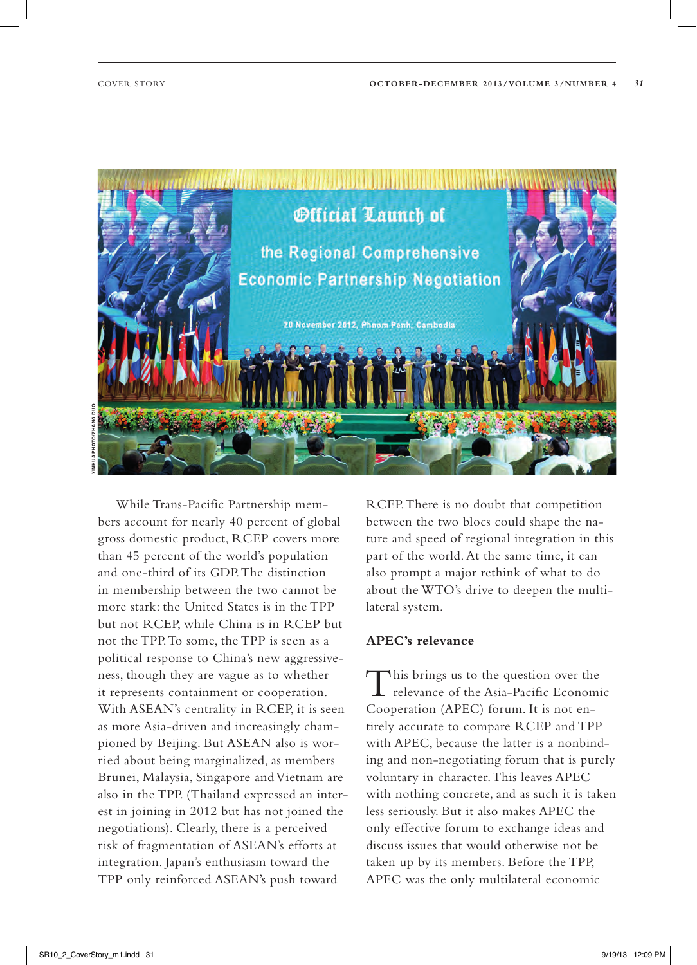

**Xinhua Photo/Zhang Duo**

While Trans-Pacific Partnership members account for nearly 40 percent of global gross domestic product, RCEP covers more than 45 percent of the world's population and one-third of its GDP. The distinction in membership between the two cannot be more stark: the United States is in the TPP but not RCEP, while China is in RCEP but not the TPP. To some, the TPP is seen as a political response to China's new aggressiveness, though they are vague as to whether it represents containment or cooperation. With ASEAN's centrality in RCEP, it is seen as more Asia-driven and increasingly championed by Beijing. But ASEAN also is worried about being marginalized, as members Brunei, Malaysia, Singapore and Vietnam are also in the TPP. (Thailand expressed an interest in joining in 2012 but has not joined the negotiations). Clearly, there is a perceived risk of fragmentation of ASEAN's efforts at integration. Japan's enthusiasm toward the TPP only reinforced ASEAN's push toward

RCEP. There is no doubt that competition between the two blocs could shape the nature and speed of regional integration in this part of the world. At the same time, it can also prompt a major rethink of what to do about the WTO's drive to deepen the multilateral system.

### **APEC's relevance**

This brings us to the question over the relevance of the Asia-Pacific Economic Cooperation (APEC) forum. It is not entirely accurate to compare RCEP and TPP with APEC, because the latter is a nonbinding and non-negotiating forum that is purely voluntary in character. This leaves APEC with nothing concrete, and as such it is taken less seriously. But it also makes APEC the only effective forum to exchange ideas and discuss issues that would otherwise not be taken up by its members. Before the TPP, APEC was the only multilateral economic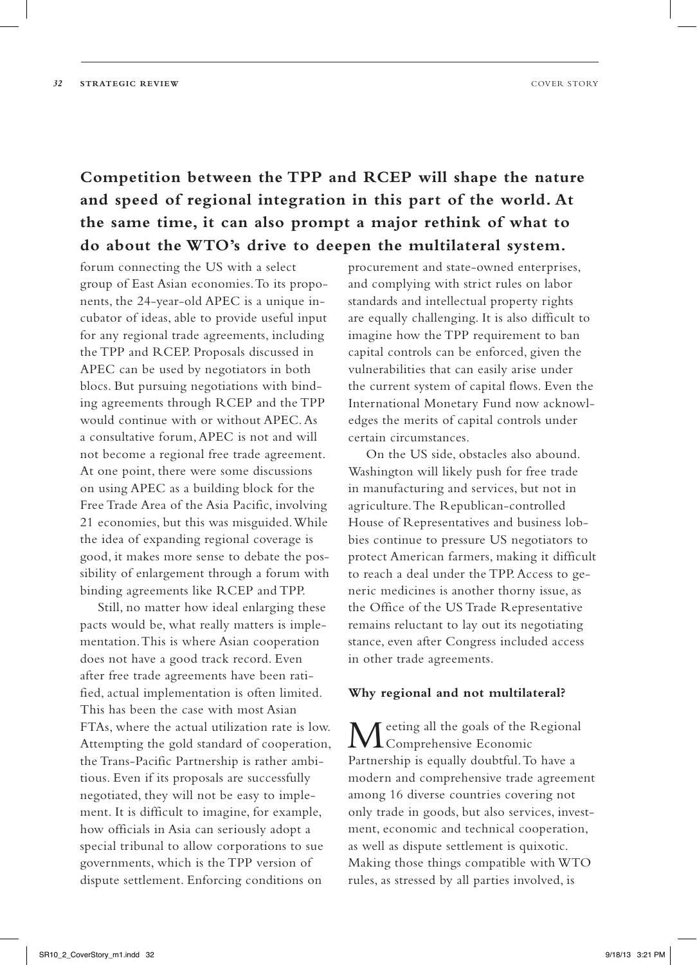## **Competition between the TPP and RCEP will shape the nature and speed of regional integration in this part of the world. At the same time, it can also prompt a major rethink of what to do about the WTO's drive to deepen the multilateral system.**

forum connecting the US with a select group of East Asian economies. To its proponents, the 24-year-old APEC is a unique incubator of ideas, able to provide useful input for any regional trade agreements, including the TPP and RCEP. Proposals discussed in APEC can be used by negotiators in both blocs. But pursuing negotiations with binding agreements through RCEP and the TPP would continue with or without APEC. As a consultative forum, APEC is not and will not become a regional free trade agreement. At one point, there were some discussions on using APEC as a building block for the Free Trade Area of the Asia Pacific, involving 21 economies, but this was misguided. While the idea of expanding regional coverage is good, it makes more sense to debate the possibility of enlargement through a forum with binding agreements like RCEP and TPP.

Still, no matter how ideal enlarging these pacts would be, what really matters is implementation. This is where Asian cooperation does not have a good track record. Even after free trade agreements have been ratified, actual implementation is often limited. This has been the case with most Asian FTAs, where the actual utilization rate is low. Attempting the gold standard of cooperation, the Trans-Pacific Partnership is rather ambitious. Even if its proposals are successfully negotiated, they will not be easy to implement. It is difficult to imagine, for example, how officials in Asia can seriously adopt a special tribunal to allow corporations to sue governments, which is the TPP version of dispute settlement. Enforcing conditions on

procurement and state-owned enterprises, and complying with strict rules on labor standards and intellectual property rights are equally challenging. It is also difficult to imagine how the TPP requirement to ban capital controls can be enforced, given the vulnerabilities that can easily arise under the current system of capital flows. Even the International Monetary Fund now acknowledges the merits of capital controls under certain circumstances.

On the US side, obstacles also abound. Washington will likely push for free trade in manufacturing and services, but not in agriculture. The Republican-controlled House of Representatives and business lobbies continue to pressure US negotiators to protect American farmers, making it difficult to reach a deal under the TPP. Access to generic medicines is another thorny issue, as the Office of the US Trade Representative remains reluctant to lay out its negotiating stance, even after Congress included access in other trade agreements.

### **Why regional and not multilateral?**

T eeting all the goals of the Regional **L** Comprehensive Economic Partnership is equally doubtful. To have a modern and comprehensive trade agreement among 16 diverse countries covering not only trade in goods, but also services, investment, economic and technical cooperation, as well as dispute settlement is quixotic. Making those things compatible with WTO rules, as stressed by all parties involved, is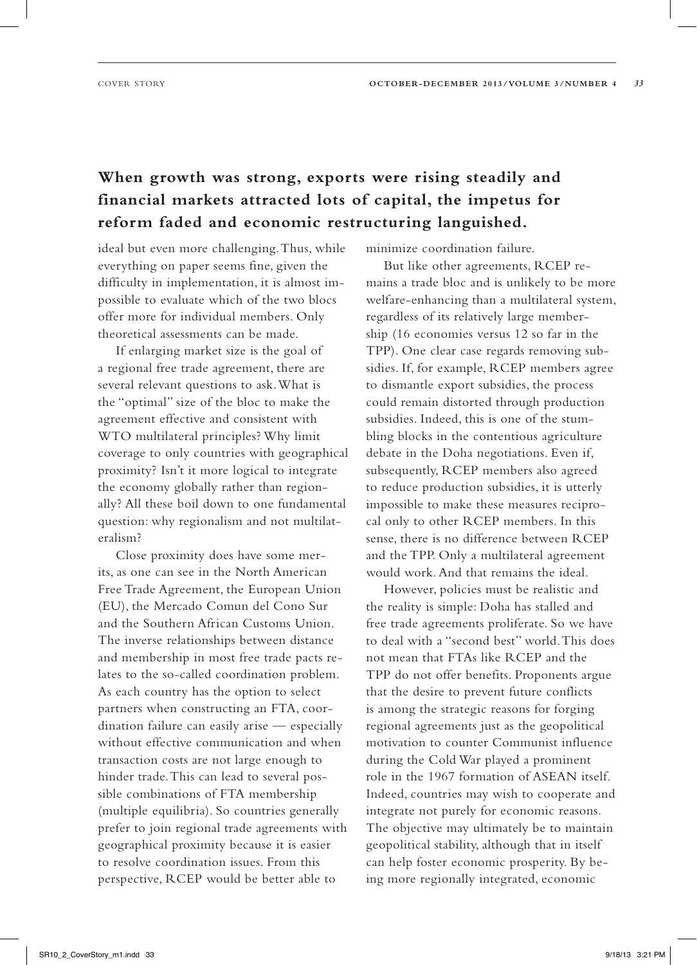## **When growth was strong, exports were rising steadily and financial markets attracted lots of capital, the impetus for reform faded and economic restructuring languished.**

ideal but even more challenging. Thus, while everything on paper seems fine, given the difficulty in implementation, it is almost impossible to evaluate which of the two blocs offer more for individual members. Only theoretical assessments can be made.

If enlarging market size is the goal of a regional free trade agreement, there are several relevant questions to ask. What is the "optimal" size of the bloc to make the agreement effective and consistent with WTO multilateral principles? Why limit coverage to only countries with geographical proximity? Isn't it more logical to integrate the economy globally rather than regionally? All these boil down to one fundamental question: why regionalism and not multilateralism?

Close proximity does have some merits, as one can see in the North American Free Trade Agreement, the European Union (EU), the Mercado Comun del Cono Sur and the Southern African Customs Union. The inverse relationships between distance and membership in most free trade pacts relates to the so-called coordination problem. As each country has the option to select partners when constructing an FTA, coordination failure can easily arise — especially without effective communication and when transaction costs are not large enough to hinder trade. This can lead to several possible combinations of FTA membership (multiple equilibria). So countries generally prefer to join regional trade agreements with geographical proximity because it is easier to resolve coordination issues. From this perspective, RCEP would be better able to

minimize coordination failure.

But like other agreements, RCEP remains a trade bloc and is unlikely to be more welfare-enhancing than a multilateral system, regardless of its relatively large membership (16 economies versus 12 so far in the TPP). One clear case regards removing subsidies. If, for example, RCEP members agree to dismantle export subsidies, the process could remain distorted through production subsidies. Indeed, this is one of the stumbling blocks in the contentious agriculture debate in the Doha negotiations. Even if, subsequently, RCEP members also agreed to reduce production subsidies, it is utterly impossible to make these measures reciprocal only to other RCEP members. In this sense, there is no difference between RCEP and the TPP. Only a multilateral agreement would work. And that remains the ideal.

However, policies must be realistic and the reality is simple: Doha has stalled and free trade agreements proliferate. So we have to deal with a "second best" world. This does not mean that FTAs like RCEP and the TPP do not offer benefits. Proponents argue that the desire to prevent future conflicts is among the strategic reasons for forging regional agreements just as the geopolitical motivation to counter Communist influence during the Cold War played a prominent role in the 1967 formation of ASEAN itself. Indeed, countries may wish to cooperate and integrate not purely for economic reasons. The objective may ultimately be to maintain geopolitical stability, although that in itself can help foster economic prosperity. By being more regionally integrated, economic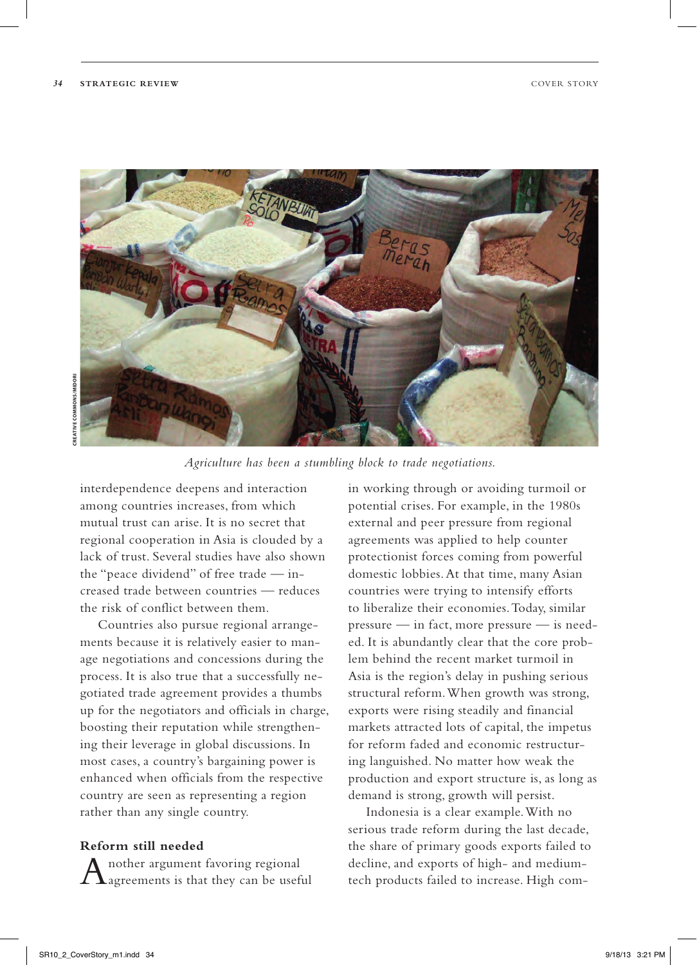

*Agriculture has been a stumbling block to trade negotiations.*

interdependence deepens and interaction among countries increases, from which mutual trust can arise. It is no secret that regional cooperation in Asia is clouded by a lack of trust. Several studies have also shown the "peace dividend" of free trade — increased trade between countries — reduces the risk of conflict between them.

Countries also pursue regional arrangements because it is relatively easier to manage negotiations and concessions during the process. It is also true that a successfully negotiated trade agreement provides a thumbs up for the negotiators and officials in charge, boosting their reputation while strengthening their leverage in global discussions. In most cases, a country's bargaining power is enhanced when officials from the respective country are seen as representing a region rather than any single country.

#### **Reform still needed**

 $A$ nother argument favoring regional agreements is that they can be useful

in working through or avoiding turmoil or potential crises. For example, in the 1980s external and peer pressure from regional agreements was applied to help counter protectionist forces coming from powerful domestic lobbies. At that time, many Asian countries were trying to intensify efforts to liberalize their economies. Today, similar pressure — in fact, more pressure — is needed. It is abundantly clear that the core problem behind the recent market turmoil in Asia is the region's delay in pushing serious structural reform. When growth was strong, exports were rising steadily and financial markets attracted lots of capital, the impetus for reform faded and economic restructuring languished. No matter how weak the production and export structure is, as long as demand is strong, growth will persist.

Indonesia is a clear example. With no serious trade reform during the last decade, the share of primary goods exports failed to decline, and exports of high- and mediumtech products failed to increase. High com-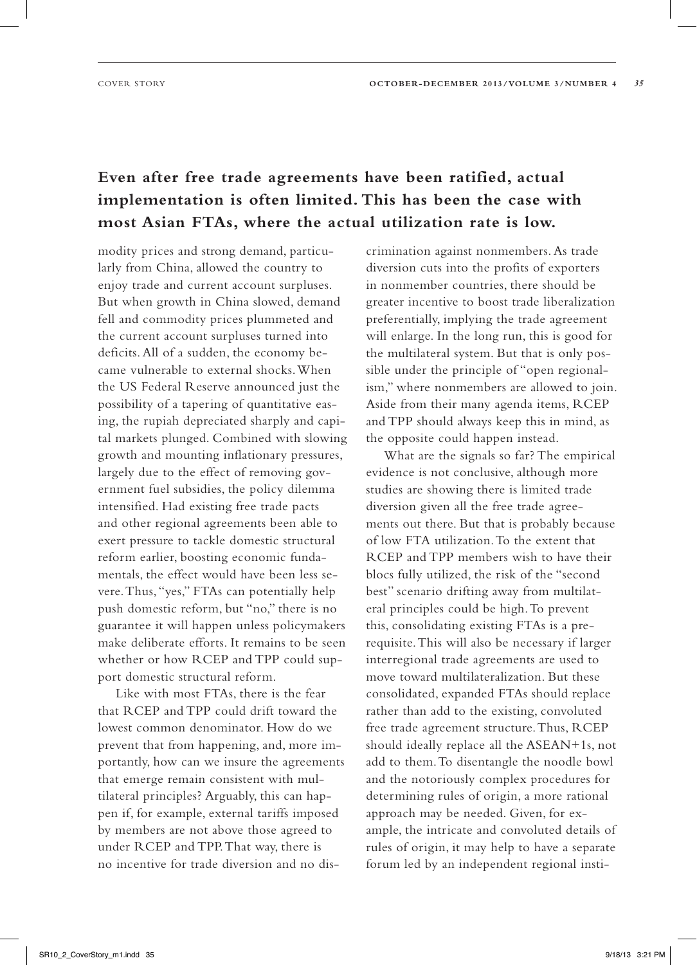### **Even after free trade agreements have been ratified, actual implementation is often limited. This has been the case with most Asian FTAs, where the actual utilization rate is low.**

modity prices and strong demand, particularly from China, allowed the country to enjoy trade and current account surpluses. But when growth in China slowed, demand fell and commodity prices plummeted and the current account surpluses turned into deficits. All of a sudden, the economy became vulnerable to external shocks. When the US Federal Reserve announced just the possibility of a tapering of quantitative easing, the rupiah depreciated sharply and capital markets plunged. Combined with slowing growth and mounting inflationary pressures, largely due to the effect of removing government fuel subsidies, the policy dilemma intensified. Had existing free trade pacts and other regional agreements been able to exert pressure to tackle domestic structural reform earlier, boosting economic fundamentals, the effect would have been less severe. Thus, "yes," FTAs can potentially help push domestic reform, but "no," there is no guarantee it will happen unless policymakers make deliberate efforts. It remains to be seen whether or how RCEP and TPP could support domestic structural reform.

Like with most FTAs, there is the fear that RCEP and TPP could drift toward the lowest common denominator. How do we prevent that from happening, and, more importantly, how can we insure the agreements that emerge remain consistent with multilateral principles? Arguably, this can happen if, for example, external tariffs imposed by members are not above those agreed to under RCEP and TPP. That way, there is no incentive for trade diversion and no discrimination against nonmembers. As trade diversion cuts into the profits of exporters in nonmember countries, there should be greater incentive to boost trade liberalization preferentially, implying the trade agreement will enlarge. In the long run, this is good for the multilateral system. But that is only possible under the principle of "open regionalism," where nonmembers are allowed to join. Aside from their many agenda items, RCEP and TPP should always keep this in mind, as the opposite could happen instead.

What are the signals so far? The empirical evidence is not conclusive, although more studies are showing there is limited trade diversion given all the free trade agreements out there. But that is probably because of low FTA utilization. To the extent that RCEP and TPP members wish to have their blocs fully utilized, the risk of the "second best" scenario drifting away from multilateral principles could be high. To prevent this, consolidating existing FTAs is a prerequisite. This will also be necessary if larger interregional trade agreements are used to move toward multilateralization. But these consolidated, expanded FTAs should replace rather than add to the existing, convoluted free trade agreement structure. Thus, RCEP should ideally replace all the ASEAN+1s, not add to them. To disentangle the noodle bowl and the notoriously complex procedures for determining rules of origin, a more rational approach may be needed. Given, for example, the intricate and convoluted details of rules of origin, it may help to have a separate forum led by an independent regional insti-